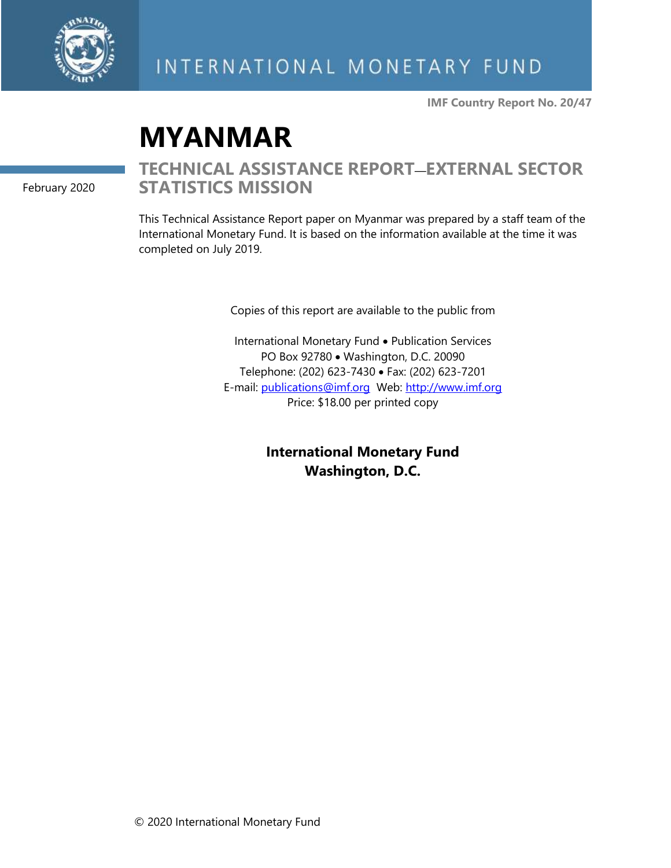

**IMF Country Report No. 20/47**

# **MYANMAR**

February 2020

## **TECHNICAL ASSISTANCE REPORT**—**EXTERNAL SECTOR STATISTICS MISSION**

This Technical Assistance Report paper on Myanmar was prepared by a staff team of the International Monetary Fund. It is based on the information available at the time it was completed on July 2019.

Copies of this report are available to the public from

International Monetary Fund • Publication Services PO Box 92780 • Washington, D.C. 20090 Telephone: (202) 623-7430 • Fax: (202) 623-7201 E-mail: [publications@imf.org](mailto:publications@imf.org) Web: [http://www.imf.org](http://www.imf.org/) Price: \$18.00 per printed copy

> **International Monetary Fund Washington, D.C.**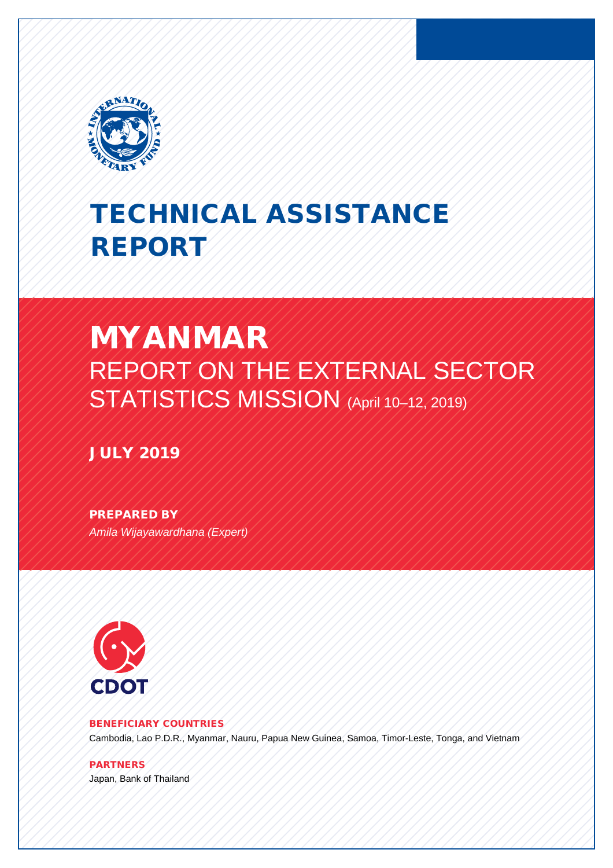

# TECHNICAL ASSISTANCE REPORT

# MYANMAR REPORT ON THE EXTERNAL SECTOR STATISTICS MISSION (April 10-12, 2019)

JULY 2019

PREPARED BY *Amila Wijayawardhana (Expert)*



#### BENEFICIARY COUNTRIES

Cambodia, Lao P.D.R., Myanmar, Nauru, Papua New Guinea, Samoa, Timor-Leste, Tonga, and Vietnam

PARTNERS Japan, Bank of Thailand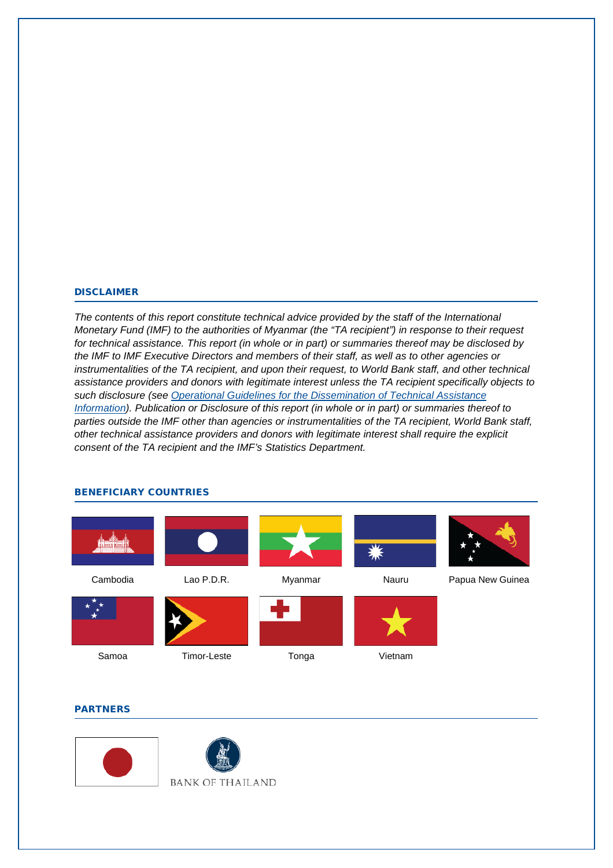#### DISCLAIMER

*The contents of this report constitute technical advice provided by the staff of the International Monetary Fund (IMF) to the authorities of Myanmar (the "TA recipient") in response to their request for technical assistance. This report (in whole or in part) or summaries thereof may be disclosed by the IMF to IMF Executive Directors and members of their staff, as well as to other agencies or instrumentalities of the TA recipient, and upon their request, to World Bank staff, and other technical assistance providers and donors with legitimate interest unless the TA recipient specifically objects to such disclosure (see [Operational Guidelines for the Dissemination of Technical Assistance](http://www.imf.org/external/np/pp/eng/2013/061013.pdf)  [Information\)](http://www.imf.org/external/np/pp/eng/2013/061013.pdf). Publication or Disclosure of this report (in whole or in part) or summaries thereof to parties outside the IMF other than agencies or instrumentalities of the TA recipient, World Bank staff, other technical assistance providers and donors with legitimate interest shall require the explicit consent of the TA recipient and the IMF's Statistics Department.* 



#### BENEFICIARY COUNTRIES

#### **PARTNERS**



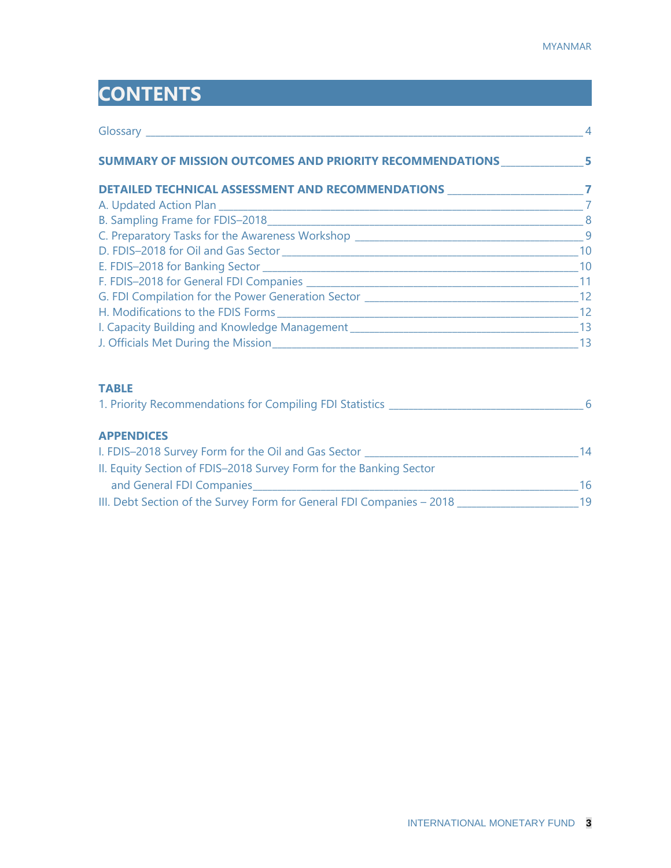# **CONTENTS**

| SUMMARY OF MISSION OUTCOMES AND PRIORITY RECOMMENDATIONS ________________________ |  |
|-----------------------------------------------------------------------------------|--|
| DETAILED TECHNICAL ASSESSMENT AND RECOMMENDATIONS _________________________7      |  |
|                                                                                   |  |
|                                                                                   |  |
|                                                                                   |  |
|                                                                                   |  |
|                                                                                   |  |
|                                                                                   |  |
|                                                                                   |  |
|                                                                                   |  |
|                                                                                   |  |
|                                                                                   |  |
| <b>TABLE</b>                                                                      |  |
|                                                                                   |  |
| <b>APPENDICES</b>                                                                 |  |
|                                                                                   |  |
| II. Equity Section of FDIS-2018 Survey Form for the Banking Sector                |  |
|                                                                                   |  |
|                                                                                   |  |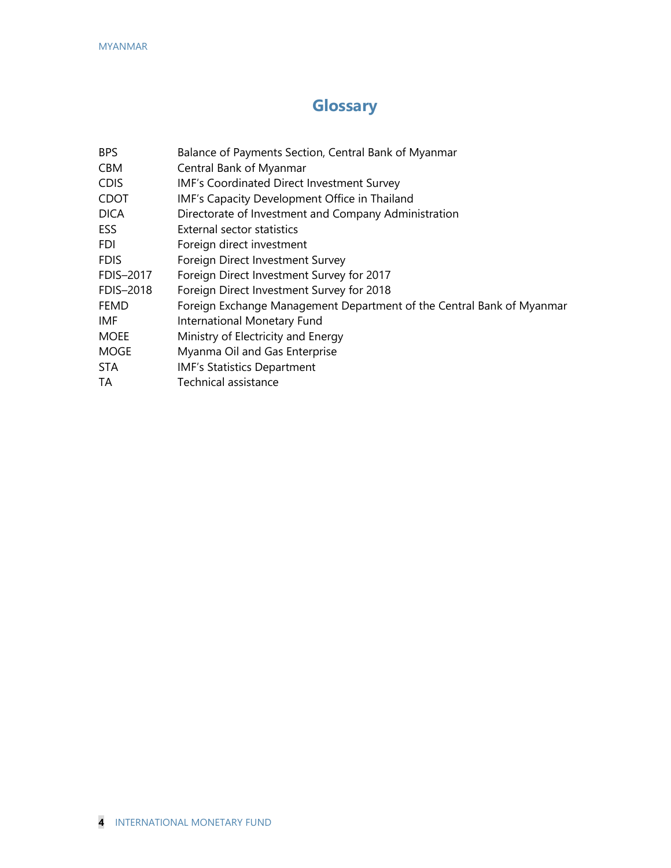# **Glossary**

| <b>BPS</b>  | Balance of Payments Section, Central Bank of Myanmar                  |
|-------------|-----------------------------------------------------------------------|
| CBM         | Central Bank of Myanmar                                               |
| <b>CDIS</b> | IMF's Coordinated Direct Investment Survey                            |
| <b>CDOT</b> | IMF's Capacity Development Office in Thailand                         |
| <b>DICA</b> | Directorate of Investment and Company Administration                  |
| ESS         | External sector statistics                                            |
| FDI         | Foreign direct investment                                             |
| <b>FDIS</b> | Foreign Direct Investment Survey                                      |
| FDIS-2017   | Foreign Direct Investment Survey for 2017                             |
| FDIS-2018   | Foreign Direct Investment Survey for 2018                             |
| <b>FEMD</b> | Foreign Exchange Management Department of the Central Bank of Myanmar |
| IMF         | International Monetary Fund                                           |
| <b>MOEE</b> | Ministry of Electricity and Energy                                    |
| <b>MOGE</b> | Myanma Oil and Gas Enterprise                                         |
| STA         | <b>IMF's Statistics Department</b>                                    |
| TA          | Technical assistance                                                  |
|             |                                                                       |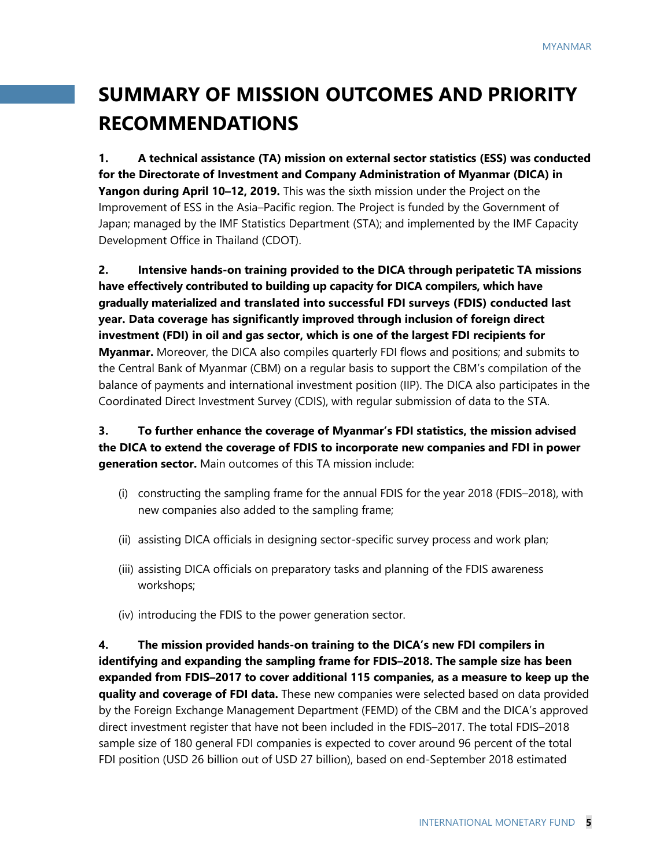# **SUMMARY OF MISSION OUTCOMES AND PRIORITY RECOMMENDATIONS**

**1. A technical assistance (TA) mission on external sector statistics (ESS) was conducted for the Directorate of Investment and Company Administration of Myanmar (DICA) in Yangon during April 10–12, 2019.** This was the sixth mission under the Project on the Improvement of ESS in the Asia–Pacific region. The Project is funded by the Government of Japan; managed by the IMF Statistics Department (STA); and implemented by the IMF Capacity Development Office in Thailand (CDOT).

**2. Intensive hands-on training provided to the DICA through peripatetic TA missions have effectively contributed to building up capacity for DICA compilers, which have gradually materialized and translated into successful FDI surveys (FDIS) conducted last year. Data coverage has significantly improved through inclusion of foreign direct investment (FDI) in oil and gas sector, which is one of the largest FDI recipients for Myanmar.** Moreover, the DICA also compiles quarterly FDI flows and positions; and submits to the Central Bank of Myanmar (CBM) on a regular basis to support the CBM's compilation of the balance of payments and international investment position (IIP). The DICA also participates in the Coordinated Direct Investment Survey (CDIS), with regular submission of data to the STA.

**3. To further enhance the coverage of Myanmar's FDI statistics, the mission advised the DICA to extend the coverage of FDIS to incorporate new companies and FDI in power generation sector.** Main outcomes of this TA mission include:

- (i) constructing the sampling frame for the annual FDIS for the year 2018 (FDIS–2018), with new companies also added to the sampling frame;
- (ii) assisting DICA officials in designing sector-specific survey process and work plan;
- (iii) assisting DICA officials on preparatory tasks and planning of the FDIS awareness workshops;
- (iv) introducing the FDIS to the power generation sector.

**4. The mission provided hands-on training to the DICA's new FDI compilers in identifying and expanding the sampling frame for FDIS–2018. The sample size has been expanded from FDIS–2017 to cover additional 115 companies, as a measure to keep up the quality and coverage of FDI data.** These new companies were selected based on data provided by the Foreign Exchange Management Department (FEMD) of the CBM and the DICA's approved direct investment register that have not been included in the FDIS–2017. The total FDIS–2018 sample size of 180 general FDI companies is expected to cover around 96 percent of the total FDI position (USD 26 billion out of USD 27 billion), based on end-September 2018 estimated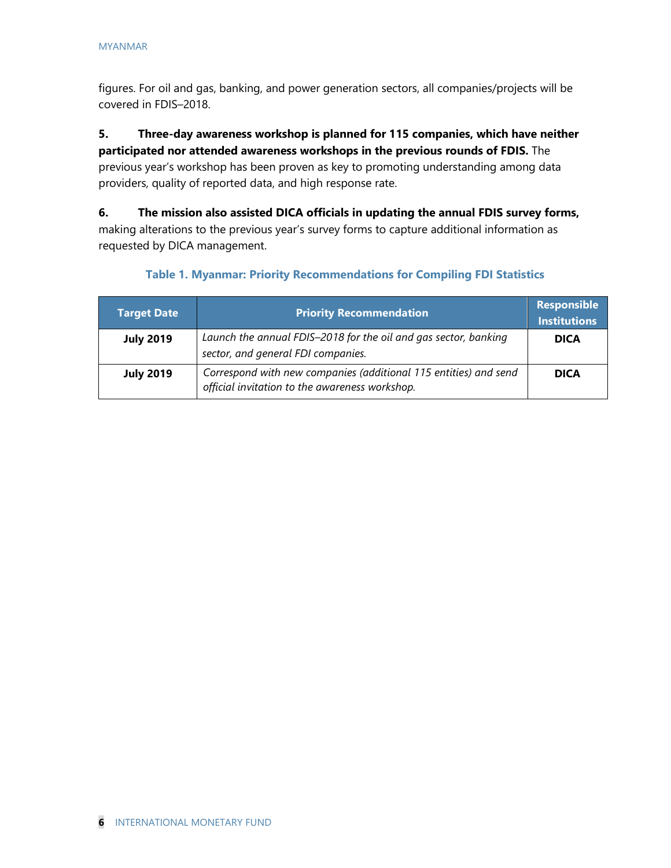figures. For oil and gas, banking, and power generation sectors, all companies/projects will be covered in FDIS–2018.

#### **5. Three-day awareness workshop is planned for 115 companies, which have neither participated nor attended awareness workshops in the previous rounds of FDIS.** The

previous year's workshop has been proven as key to promoting understanding among data providers, quality of reported data, and high response rate.

**6. The mission also assisted DICA officials in updating the annual FDIS survey forms,**  making alterations to the previous year's survey forms to capture additional information as requested by DICA management.

| <b>Target Date</b> | <b>Priority Recommendation</b>                                                                                     | <b>Responsible</b><br><b>Institutions</b> |
|--------------------|--------------------------------------------------------------------------------------------------------------------|-------------------------------------------|
| <b>July 2019</b>   | Launch the annual FDIS-2018 for the oil and gas sector, banking<br>sector, and general FDI companies.              | <b>DICA</b>                               |
| <b>July 2019</b>   | Correspond with new companies (additional 115 entities) and send<br>official invitation to the awareness workshop. | <b>DICA</b>                               |

#### **Table 1. Myanmar: Priority Recommendations for Compiling FDI Statistics**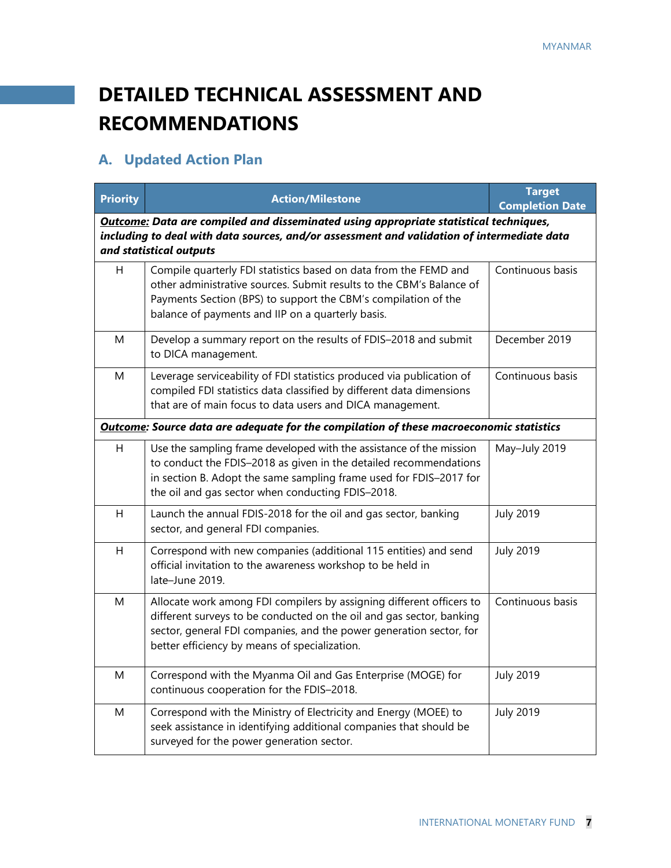# **DETAILED TECHNICAL ASSESSMENT AND RECOMMENDATIONS**

# **A. Updated Action Plan**

| <b>Priority</b>                                                                                                                                                                                                       | <b>Action/Milestone</b>                                                                                                                                                                                                                                              | <b>Target</b><br><b>Completion Date</b> |  |
|-----------------------------------------------------------------------------------------------------------------------------------------------------------------------------------------------------------------------|----------------------------------------------------------------------------------------------------------------------------------------------------------------------------------------------------------------------------------------------------------------------|-----------------------------------------|--|
| <b>Outcome:</b> Data are compiled and disseminated using appropriate statistical techniques,<br>including to deal with data sources, and/or assessment and validation of intermediate data<br>and statistical outputs |                                                                                                                                                                                                                                                                      |                                         |  |
| H                                                                                                                                                                                                                     | Compile quarterly FDI statistics based on data from the FEMD and<br>other administrative sources. Submit results to the CBM's Balance of<br>Payments Section (BPS) to support the CBM's compilation of the<br>balance of payments and IIP on a quarterly basis.      | Continuous basis                        |  |
| M                                                                                                                                                                                                                     | Develop a summary report on the results of FDIS-2018 and submit<br>to DICA management.                                                                                                                                                                               | December 2019                           |  |
| M                                                                                                                                                                                                                     | Leverage serviceability of FDI statistics produced via publication of<br>compiled FDI statistics data classified by different data dimensions<br>that are of main focus to data users and DICA management.                                                           | Continuous basis                        |  |
|                                                                                                                                                                                                                       | <b>Outcome: Source data are adequate for the compilation of these macroeconomic statistics</b>                                                                                                                                                                       |                                         |  |
| H.                                                                                                                                                                                                                    | Use the sampling frame developed with the assistance of the mission<br>to conduct the FDIS-2018 as given in the detailed recommendations<br>in section B. Adopt the same sampling frame used for FDIS-2017 for<br>the oil and gas sector when conducting FDIS-2018.  | May-July 2019                           |  |
| H                                                                                                                                                                                                                     | Launch the annual FDIS-2018 for the oil and gas sector, banking<br>sector, and general FDI companies.                                                                                                                                                                | <b>July 2019</b>                        |  |
| H                                                                                                                                                                                                                     | Correspond with new companies (additional 115 entities) and send<br>official invitation to the awareness workshop to be held in<br>late-June 2019.                                                                                                                   | <b>July 2019</b>                        |  |
| M                                                                                                                                                                                                                     | Allocate work among FDI compilers by assigning different officers to<br>different surveys to be conducted on the oil and gas sector, banking<br>sector, general FDI companies, and the power generation sector, for<br>better efficiency by means of specialization. | Continuous basis                        |  |
| Μ                                                                                                                                                                                                                     | Correspond with the Myanma Oil and Gas Enterprise (MOGE) for<br>continuous cooperation for the FDIS-2018.                                                                                                                                                            | <b>July 2019</b>                        |  |
| M                                                                                                                                                                                                                     | Correspond with the Ministry of Electricity and Energy (MOEE) to<br>seek assistance in identifying additional companies that should be<br>surveyed for the power generation sector.                                                                                  | <b>July 2019</b>                        |  |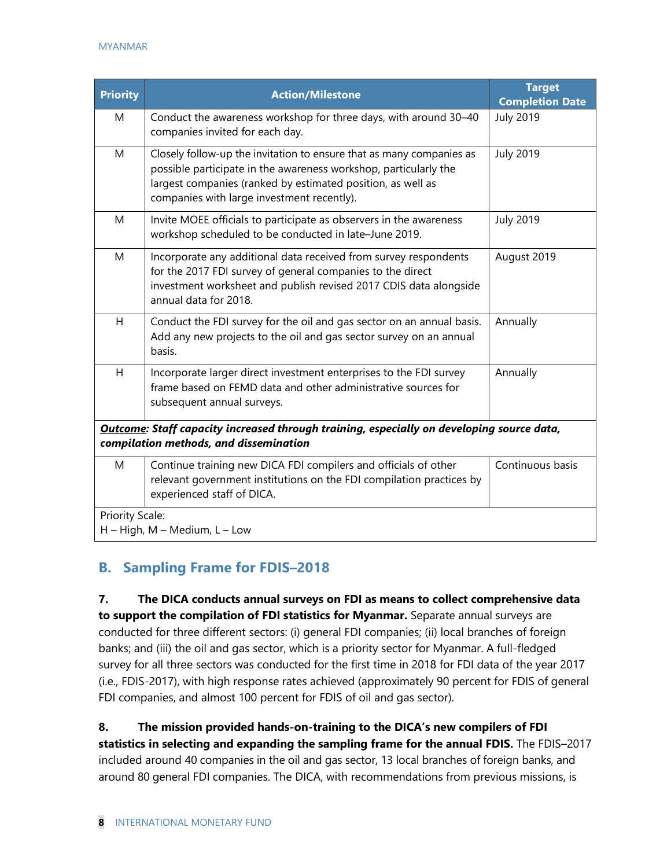| <b>Priority</b> | <b>Action/Milestone</b>                                                                                                                                                                                                                               | <b>Target</b><br><b>Completion Date</b> |
|-----------------|-------------------------------------------------------------------------------------------------------------------------------------------------------------------------------------------------------------------------------------------------------|-----------------------------------------|
| M               | Conduct the awareness workshop for three days, with around 30-40<br>companies invited for each day.                                                                                                                                                   | <b>July 2019</b>                        |
| M               | Closely follow-up the invitation to ensure that as many companies as<br>possible participate in the awareness workshop, particularly the<br>largest companies (ranked by estimated position, as well as<br>companies with large investment recently). | <b>July 2019</b>                        |
| M               | Invite MOEE officials to participate as observers in the awareness<br>workshop scheduled to be conducted in late-June 2019.                                                                                                                           | <b>July 2019</b>                        |
| M               | Incorporate any additional data received from survey respondents<br>for the 2017 FDI survey of general companies to the direct<br>investment worksheet and publish revised 2017 CDIS data alongside<br>annual data for 2018.                          | August 2019                             |
| H               | Conduct the FDI survey for the oil and gas sector on an annual basis.<br>Add any new projects to the oil and gas sector survey on an annual<br>basis.                                                                                                 | Annually                                |
| H               | Incorporate larger direct investment enterprises to the FDI survey<br>frame based on FEMD data and other administrative sources for<br>subsequent annual surveys.                                                                                     | Annually                                |
|                 | <b>Outcome: Staff capacity increased through training, especially on developing source data,</b><br>compilation methods, and dissemination                                                                                                            |                                         |
| M               | Continue training new DICA FDI compilers and officials of other<br>relevant government institutions on the FDI compilation practices by<br>experienced staff of DICA.                                                                                 | Continuous basis                        |
| Priority Scale: | $H - High$ , M – Medium, L – Low                                                                                                                                                                                                                      |                                         |

## **B. Sampling Frame for FDIS–2018**

**7. The DICA conducts annual surveys on FDI as means to collect comprehensive data to support the compilation of FDI statistics for Myanmar.** Separate annual surveys are conducted for three different sectors: (i) general FDI companies; (ii) local branches of foreign banks; and (iii) the oil and gas sector, which is a priority sector for Myanmar. A full-fledged survey for all three sectors was conducted for the first time in 2018 for FDI data of the year 2017 (i.e., FDIS-2017), with high response rates achieved (approximately 90 percent for FDIS of general FDI companies, and almost 100 percent for FDIS of oil and gas sector).

**8. The mission provided hands-on-training to the DICA's new compilers of FDI statistics in selecting and expanding the sampling frame for the annual FDIS.** The FDIS–2017 included around 40 companies in the oil and gas sector, 13 local branches of foreign banks, and around 80 general FDI companies. The DICA, with recommendations from previous missions, is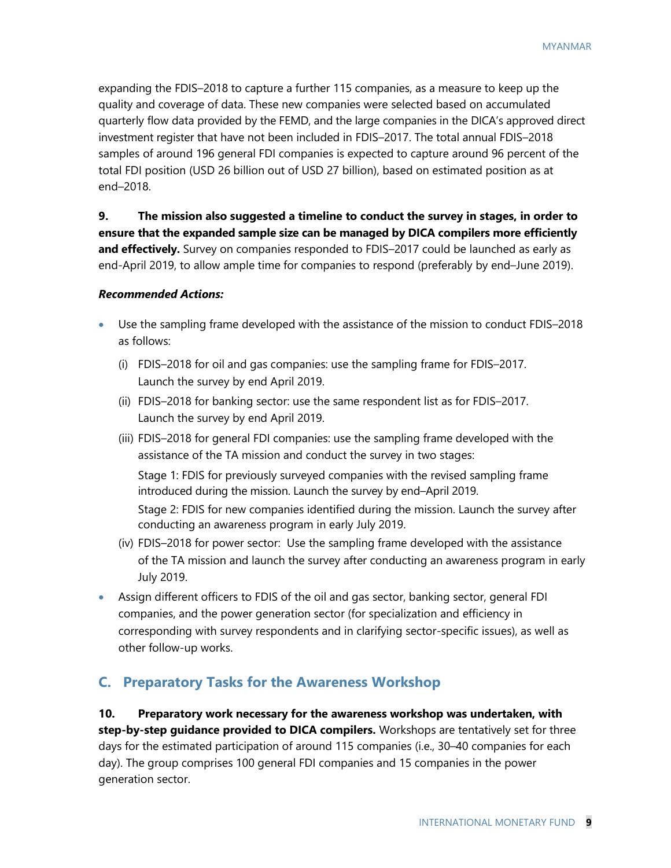expanding the FDIS–2018 to capture a further 115 companies, as a measure to keep up the quality and coverage of data. These new companies were selected based on accumulated quarterly flow data provided by the FEMD, and the large companies in the DICA's approved direct investment register that have not been included in FDIS–2017. The total annual FDIS–2018 samples of around 196 general FDI companies is expected to capture around 96 percent of the total FDI position (USD 26 billion out of USD 27 billion), based on estimated position as at end–2018.

**9. The mission also suggested a timeline to conduct the survey in stages, in order to ensure that the expanded sample size can be managed by DICA compilers more efficiently and effectively.** Survey on companies responded to FDIS–2017 could be launched as early as end-April 2019, to allow ample time for companies to respond (preferably by end–June 2019).

#### *Recommended Actions:*

- Use the sampling frame developed with the assistance of the mission to conduct FDIS–2018 as follows:
	- (i) FDIS–2018 for oil and gas companies: use the sampling frame for FDIS–2017. Launch the survey by end April 2019.
	- (ii) FDIS–2018 for banking sector: use the same respondent list as for FDIS–2017. Launch the survey by end April 2019.
	- (iii) FDIS–2018 for general FDI companies: use the sampling frame developed with the assistance of the TA mission and conduct the survey in two stages:

Stage 1: FDIS for previously surveyed companies with the revised sampling frame introduced during the mission. Launch the survey by end–April 2019.

Stage 2: FDIS for new companies identified during the mission. Launch the survey after conducting an awareness program in early July 2019.

- (iv) FDIS–2018 for power sector:Use the sampling frame developed with the assistance of the TA mission and launch the survey after conducting an awareness program in early July 2019.
- Assign different officers to FDIS of the oil and gas sector, banking sector, general FDI companies, and the power generation sector (for specialization and efficiency in corresponding with survey respondents and in clarifying sector-specific issues), as well as other follow-up works.

#### **C. Preparatory Tasks for the Awareness Workshop**

**10. Preparatory work necessary for the awareness workshop was undertaken, with step-by-step guidance provided to DICA compilers.** Workshops are tentatively set for three days for the estimated participation of around 115 companies (i.e., 30–40 companies for each day). The group comprises 100 general FDI companies and 15 companies in the power generation sector.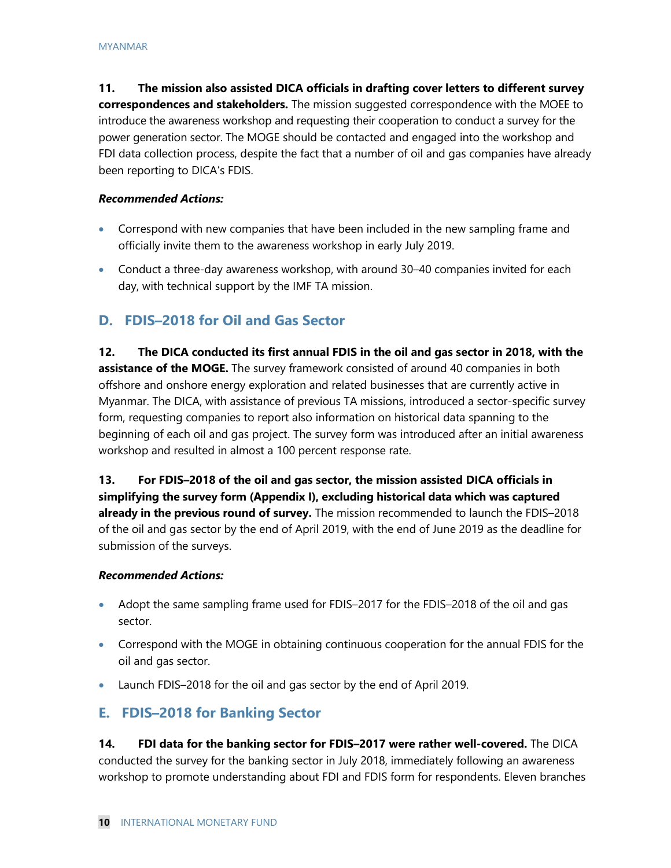**11. The mission also assisted DICA officials in drafting cover letters to different survey correspondences and stakeholders.** The mission suggested correspondence with the MOEE to introduce the awareness workshop and requesting their cooperation to conduct a survey for the power generation sector. The MOGE should be contacted and engaged into the workshop and FDI data collection process, despite the fact that a number of oil and gas companies have already been reporting to DICA's FDIS.

#### *Recommended Actions:*

- Correspond with new companies that have been included in the new sampling frame and officially invite them to the awareness workshop in early July 2019.
- Conduct a three-day awareness workshop, with around 30–40 companies invited for each day, with technical support by the IMF TA mission.

## **D. FDIS–2018 for Oil and Gas Sector**

**12. The DICA conducted its first annual FDIS in the oil and gas sector in 2018, with the assistance of the MOGE.** The survey framework consisted of around 40 companies in both offshore and onshore energy exploration and related businesses that are currently active in Myanmar. The DICA, with assistance of previous TA missions, introduced a sector-specific survey form, requesting companies to report also information on historical data spanning to the beginning of each oil and gas project. The survey form was introduced after an initial awareness workshop and resulted in almost a 100 percent response rate.

**13. For FDIS–2018 of the oil and gas sector, the mission assisted DICA officials in simplifying the survey form (Appendix I), excluding historical data which was captured already in the previous round of survey.** The mission recommended to launch the FDIS–2018 of the oil and gas sector by the end of April 2019, with the end of June 2019 as the deadline for submission of the surveys.

#### *Recommended Actions:*

- Adopt the same sampling frame used for FDIS-2017 for the FDIS-2018 of the oil and gas sector.
- Correspond with the MOGE in obtaining continuous cooperation for the annual FDIS for the oil and gas sector.
- Launch FDIS–2018 for the oil and gas sector by the end of April 2019.

## **E. FDIS–2018 for Banking Sector**

**14. FDI data for the banking sector for FDIS–2017 were rather well-covered.** The DICA conducted the survey for the banking sector in July 2018, immediately following an awareness workshop to promote understanding about FDI and FDIS form for respondents. Eleven branches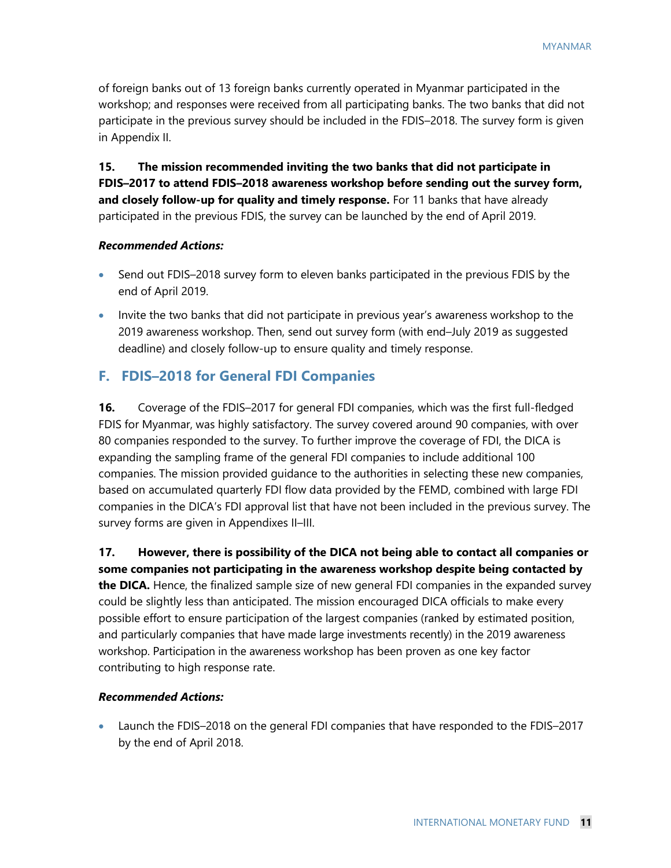of foreign banks out of 13 foreign banks currently operated in Myanmar participated in the workshop; and responses were received from all participating banks. The two banks that did not participate in the previous survey should be included in the FDIS–2018. The survey form is given in Appendix II.

**15. The mission recommended inviting the two banks that did not participate in FDIS–2017 to attend FDIS–2018 awareness workshop before sending out the survey form, and closely follow-up for quality and timely response.** For 11 banks that have already participated in the previous FDIS, the survey can be launched by the end of April 2019.

#### *Recommended Actions:*

- Send out FDIS–2018 survey form to eleven banks participated in the previous FDIS by the end of April 2019.
- Invite the two banks that did not participate in previous year's awareness workshop to the 2019 awareness workshop. Then, send out survey form (with end–July 2019 as suggested deadline) and closely follow-up to ensure quality and timely response.

#### **F. FDIS–2018 for General FDI Companies**

**16.** Coverage of the FDIS–2017 for general FDI companies, which was the first full-fledged FDIS for Myanmar, was highly satisfactory. The survey covered around 90 companies, with over 80 companies responded to the survey. To further improve the coverage of FDI, the DICA is expanding the sampling frame of the general FDI companies to include additional 100 companies. The mission provided guidance to the authorities in selecting these new companies, based on accumulated quarterly FDI flow data provided by the FEMD, combined with large FDI companies in the DICA's FDI approval list that have not been included in the previous survey. The survey forms are given in Appendixes II–III.

**17. However, there is possibility of the DICA not being able to contact all companies or some companies not participating in the awareness workshop despite being contacted by the DICA.** Hence, the finalized sample size of new general FDI companies in the expanded survey could be slightly less than anticipated. The mission encouraged DICA officials to make every possible effort to ensure participation of the largest companies (ranked by estimated position, and particularly companies that have made large investments recently) in the 2019 awareness

workshop. Participation in the awareness workshop has been proven as one key factor contributing to high response rate.

#### *Recommended Actions:*

• Launch the FDIS–2018 on the general FDI companies that have responded to the FDIS–2017 by the end of April 2018.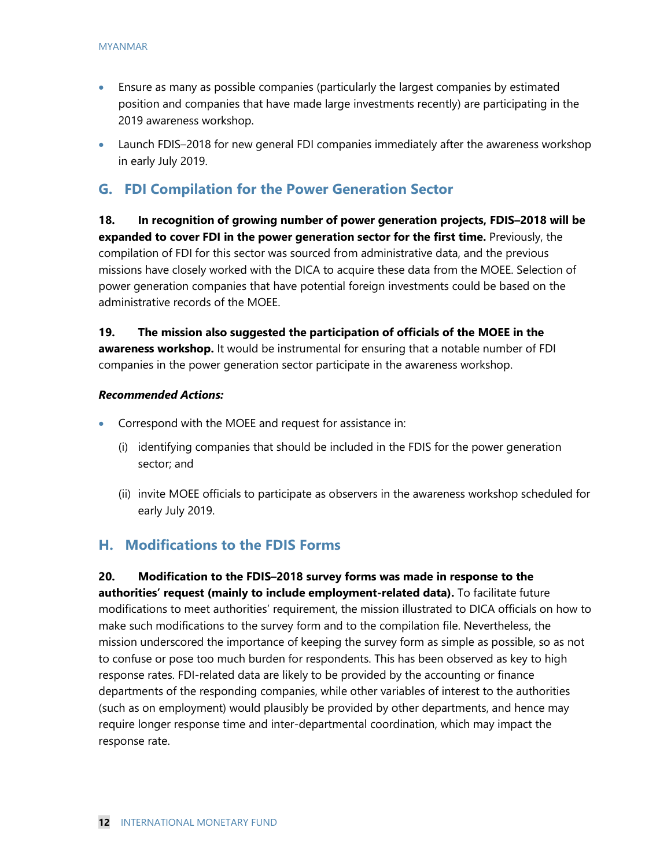- Ensure as many as possible companies (particularly the largest companies by estimated position and companies that have made large investments recently) are participating in the 2019 awareness workshop.
- Launch FDIS–2018 for new general FDI companies immediately after the awareness workshop in early July 2019.

#### **G. FDI Compilation for the Power Generation Sector**

**18. In recognition of growing number of power generation projects, FDIS–2018 will be expanded to cover FDI in the power generation sector for the first time.** Previously, the compilation of FDI for this sector was sourced from administrative data, and the previous missions have closely worked with the DICA to acquire these data from the MOEE. Selection of power generation companies that have potential foreign investments could be based on the administrative records of the MOEE.

**19. The mission also suggested the participation of officials of the MOEE in the awareness workshop.** It would be instrumental for ensuring that a notable number of FDI companies in the power generation sector participate in the awareness workshop.

#### *Recommended Actions:*

- Correspond with the MOEE and request for assistance in:
	- (i) identifying companies that should be included in the FDIS for the power generation sector; and
	- (ii) invite MOEE officials to participate as observers in the awareness workshop scheduled for early July 2019.

#### **H. Modifications to the FDIS Forms**

**20. Modification to the FDIS–2018 survey forms was made in response to the authorities' request (mainly to include employment-related data).** To facilitate future modifications to meet authorities' requirement, the mission illustrated to DICA officials on how to make such modifications to the survey form and to the compilation file. Nevertheless, the mission underscored the importance of keeping the survey form as simple as possible, so as not to confuse or pose too much burden for respondents. This has been observed as key to high response rates. FDI-related data are likely to be provided by the accounting or finance departments of the responding companies, while other variables of interest to the authorities (such as on employment) would plausibly be provided by other departments, and hence may require longer response time and inter-departmental coordination, which may impact the response rate.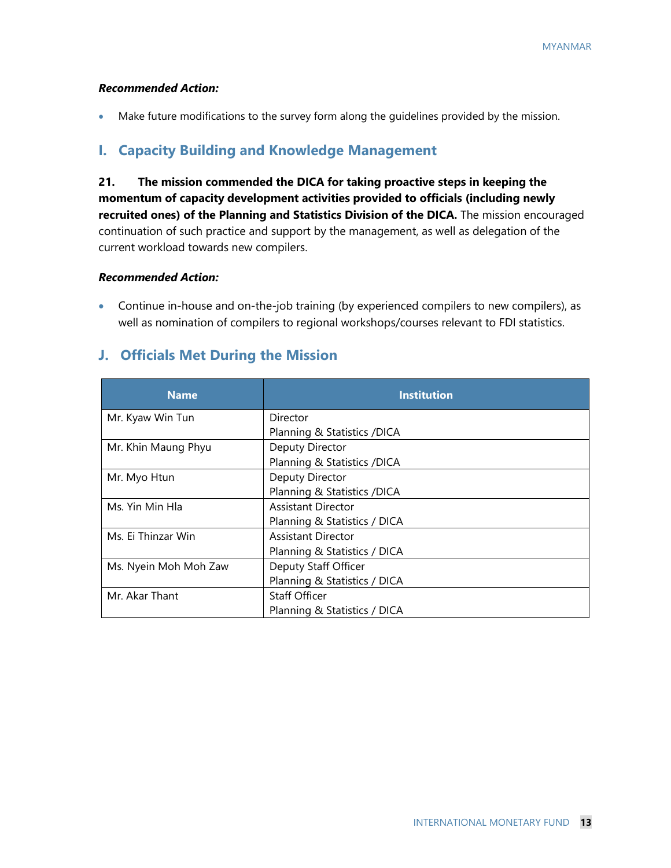#### *Recommended Action:*

• Make future modifications to the survey form along the quidelines provided by the mission.

#### **I. Capacity Building and Knowledge Management**

**21. The mission commended the DICA for taking proactive steps in keeping the momentum of capacity development activities provided to officials (including newly recruited ones) of the Planning and Statistics Division of the DICA.** The mission encouraged continuation of such practice and support by the management, as well as delegation of the current workload towards new compilers.

#### *Recommended Action:*

• Continue in-house and on-the-job training (by experienced compilers to new compilers), as well as nomination of compilers to regional workshops/courses relevant to FDI statistics.

#### **J. Officials Met During the Mission**

| <b>Name</b>           | <b>Institution</b>           |
|-----------------------|------------------------------|
| Mr. Kyaw Win Tun      | Director                     |
|                       | Planning & Statistics /DICA  |
| Mr. Khin Maung Phyu   | Deputy Director              |
|                       | Planning & Statistics / DICA |
| Mr. Myo Htun          | Deputy Director              |
|                       | Planning & Statistics /DICA  |
| Ms. Yin Min Hla       | Assistant Director           |
|                       | Planning & Statistics / DICA |
| Ms. Ei Thinzar Win    | Assistant Director           |
|                       | Planning & Statistics / DICA |
| Ms. Nyein Moh Moh Zaw | Deputy Staff Officer         |
|                       | Planning & Statistics / DICA |
| Mr. Akar Thant        | <b>Staff Officer</b>         |
|                       | Planning & Statistics / DICA |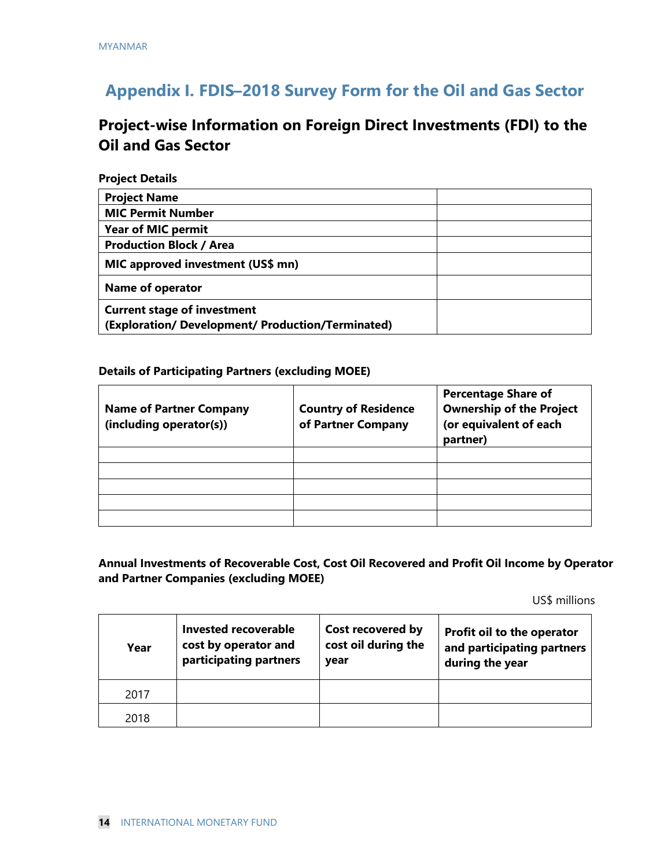# **Appendix I. FDIS–2018 Survey Form for the Oil and Gas Sector**

## **Project-wise Information on Foreign Direct Investments (FDI) to the Oil and Gas Sector**

#### **Project Details**

| <b>Project Name</b>                                                                     |
|-----------------------------------------------------------------------------------------|
| <b>MIC Permit Number</b>                                                                |
| <b>Year of MIC permit</b>                                                               |
| <b>Production Block / Area</b>                                                          |
| MIC approved investment (US\$ mn)                                                       |
| <b>Name of operator</b>                                                                 |
| <b>Current stage of investment</b><br>(Exploration/ Development/ Production/Terminated) |

#### **Details of Participating Partners (excluding MOEE)**

| <b>Name of Partner Company</b><br>(including operator(s)) | <b>Country of Residence</b><br>of Partner Company | <b>Percentage Share of</b><br><b>Ownership of the Project</b><br>(or equivalent of each<br>partner) |
|-----------------------------------------------------------|---------------------------------------------------|-----------------------------------------------------------------------------------------------------|
|                                                           |                                                   |                                                                                                     |
|                                                           |                                                   |                                                                                                     |
|                                                           |                                                   |                                                                                                     |
|                                                           |                                                   |                                                                                                     |
|                                                           |                                                   |                                                                                                     |

#### **Annual Investments of Recoverable Cost, Cost Oil Recovered and Profit Oil Income by Operator and Partner Companies (excluding MOEE)**

US\$ millions

| Year | <b>Invested recoverable</b><br>cost by operator and<br>participating partners | Cost recovered by<br>cost oil during the<br>year | Profit oil to the operator<br>and participating partners<br>during the year |
|------|-------------------------------------------------------------------------------|--------------------------------------------------|-----------------------------------------------------------------------------|
| 2017 |                                                                               |                                                  |                                                                             |
| 2018 |                                                                               |                                                  |                                                                             |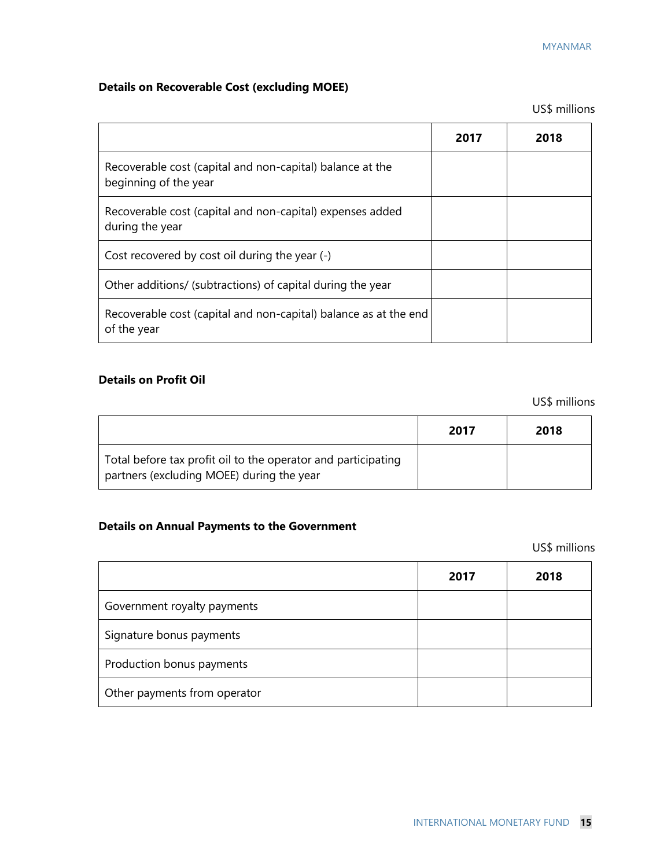## **Details on Recoverable Cost (excluding MOEE)**

US\$ millions

|                                                                                    | 2017 | 2018 |
|------------------------------------------------------------------------------------|------|------|
| Recoverable cost (capital and non-capital) balance at the<br>beginning of the year |      |      |
| Recoverable cost (capital and non-capital) expenses added<br>during the year       |      |      |
| Cost recovered by cost oil during the year (-)                                     |      |      |
| Other additions/ (subtractions) of capital during the year                         |      |      |
| Recoverable cost (capital and non-capital) balance as at the end<br>of the year    |      |      |

#### **Details on Profit Oil**

US\$ millions

|                                                                                                            | 2017 | 2018 |
|------------------------------------------------------------------------------------------------------------|------|------|
| Total before tax profit oil to the operator and participating<br>partners (excluding MOEE) during the year |      |      |

## **Details on Annual Payments to the Government**

US\$ millions

|                              | 2017 | 2018 |
|------------------------------|------|------|
| Government royalty payments  |      |      |
| Signature bonus payments     |      |      |
| Production bonus payments    |      |      |
| Other payments from operator |      |      |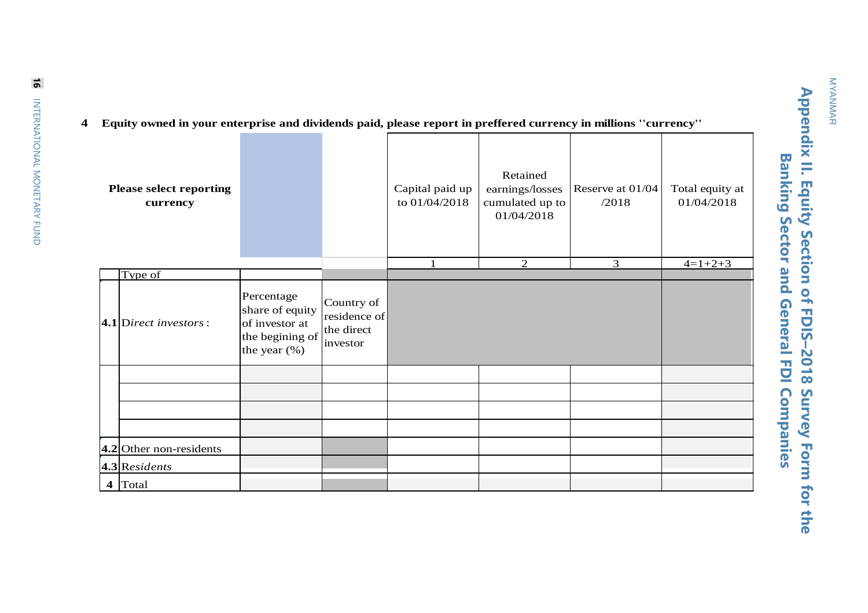# Appendix II. Equity Section of FDIS-2018 Survey Form for the **Appendix II. Equity Section of FDIS–2018 Survey Form for the Banking Sector and General FDI Companies Banking Sector and General FDI Companies**

|  |  | 4 Equity owned in your enterprise and dividends paid, please report in preffered currency in millions "currency" |  |  |  |  |
|--|--|------------------------------------------------------------------------------------------------------------------|--|--|--|--|
|--|--|------------------------------------------------------------------------------------------------------------------|--|--|--|--|

| <b>Please select reporting</b><br>currency |                                                                                       |                                                      | Capital paid up<br>to 01/04/2018 | Retained<br>earnings/losses<br>cumulated up to<br>01/04/2018 | Reserve at $01/04$<br>/2018 | Total equity at<br>01/04/2018 |
|--------------------------------------------|---------------------------------------------------------------------------------------|------------------------------------------------------|----------------------------------|--------------------------------------------------------------|-----------------------------|-------------------------------|
| Type of                                    |                                                                                       |                                                      | $\mathbf{1}$                     | 2                                                            | 3                           | $4=1+2+3$                     |
| $ 4.1 $ Direct investors:                  | Percentage<br>share of equity<br>of investor at<br>the begining of<br>the year $(\%)$ | Country of<br>residence of<br>the direct<br>investor |                                  |                                                              |                             |                               |
|                                            |                                                                                       |                                                      |                                  |                                                              |                             |                               |
| $ 4.2 $ Other non-residents                |                                                                                       |                                                      |                                  |                                                              |                             |                               |
| $ 4.3 $ Residents                          |                                                                                       |                                                      |                                  |                                                              |                             |                               |
| $4$ Total                                  |                                                                                       |                                                      |                                  |                                                              |                             |                               |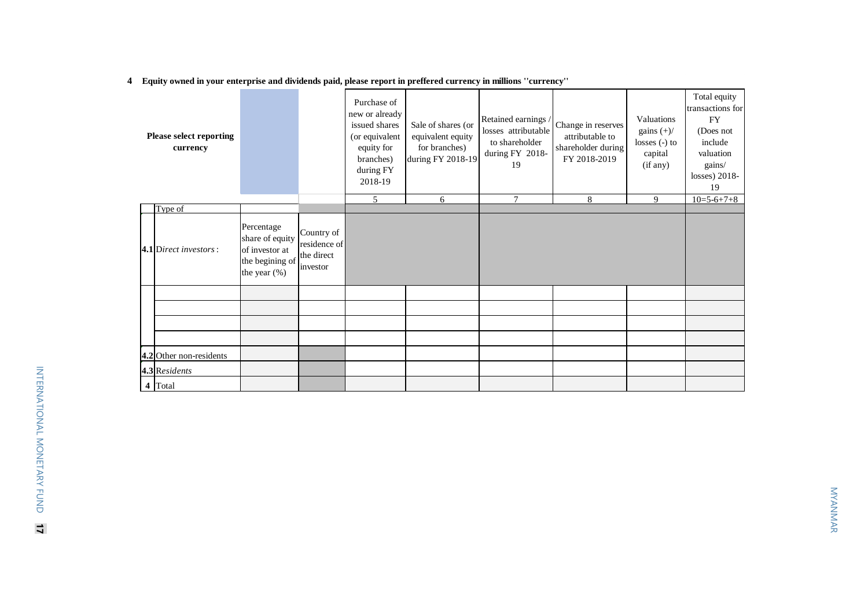**4 Equity owned in your enterprise and dividends paid, please report in preffered currency in millions ''currency''**

|  | <b>Please select reporting</b><br>currency |                                                                                       |                                                      | Purchase of<br>new or already<br>issued shares<br>(or equivalent<br>equity for<br>branches)<br>during FY<br>2018-19 | Sale of shares (or<br>equivalent equity<br>for branches)<br>during FY 2018-19 | Retained earnings<br>losses attributable<br>to shareholder<br>during FY 2018-<br>19 | Change in reserves<br>attributable to<br>shareholder during<br>FY 2018-2019 | Valuations<br>gains $(+)/$<br>$losses(-) to$<br>capital<br>(if any) | Total equity<br>transactions for<br><b>FY</b><br>(Does not<br>include<br>valuation<br>gains/<br>losses) $2018-$<br>19 |
|--|--------------------------------------------|---------------------------------------------------------------------------------------|------------------------------------------------------|---------------------------------------------------------------------------------------------------------------------|-------------------------------------------------------------------------------|-------------------------------------------------------------------------------------|-----------------------------------------------------------------------------|---------------------------------------------------------------------|-----------------------------------------------------------------------------------------------------------------------|
|  |                                            |                                                                                       |                                                      | 5                                                                                                                   | 6                                                                             | $\overline{7}$                                                                      | 8                                                                           | 9                                                                   | $10=5-6+7+8$                                                                                                          |
|  | Type of                                    |                                                                                       |                                                      |                                                                                                                     |                                                                               |                                                                                     |                                                                             |                                                                     |                                                                                                                       |
|  | $ 4.1 $ Direct investors:                  | Percentage<br>share of equity<br>of investor at<br>the begining of<br>the year $(\%)$ | Country of<br>residence of<br>the direct<br>investor |                                                                                                                     |                                                                               |                                                                                     |                                                                             |                                                                     |                                                                                                                       |
|  |                                            |                                                                                       |                                                      |                                                                                                                     |                                                                               |                                                                                     |                                                                             |                                                                     |                                                                                                                       |
|  |                                            |                                                                                       |                                                      |                                                                                                                     |                                                                               |                                                                                     |                                                                             |                                                                     |                                                                                                                       |
|  |                                            |                                                                                       |                                                      |                                                                                                                     |                                                                               |                                                                                     |                                                                             |                                                                     |                                                                                                                       |
|  |                                            |                                                                                       |                                                      |                                                                                                                     |                                                                               |                                                                                     |                                                                             |                                                                     |                                                                                                                       |
|  | $ 4.2 $ Other non-residents                |                                                                                       |                                                      |                                                                                                                     |                                                                               |                                                                                     |                                                                             |                                                                     |                                                                                                                       |
|  | 4.3 Residents                              |                                                                                       |                                                      |                                                                                                                     |                                                                               |                                                                                     |                                                                             |                                                                     |                                                                                                                       |
|  | 4 Total                                    |                                                                                       |                                                      |                                                                                                                     |                                                                               |                                                                                     |                                                                             |                                                                     |                                                                                                                       |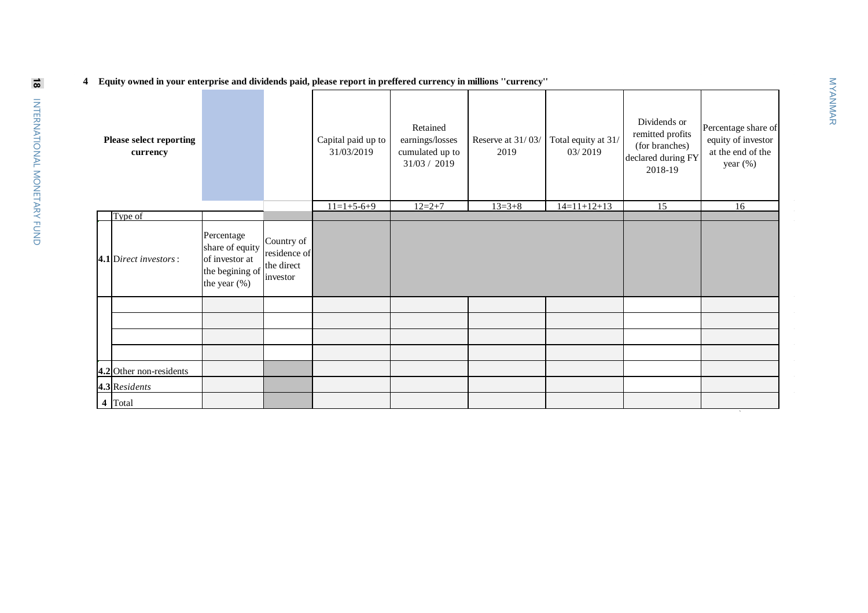**4 Equity owned in your enterprise and dividends paid, please report in preffered currency in millions ''currency''**

| <b>Please select reporting</b><br>currency |                                                                                    |                                                      | Capital paid up to<br>31/03/2019 | Retained<br>earnings/losses<br>cumulated up to<br>31/03 / 2019 | Reserve at 31/03/<br>2019 | Total equity at 31/<br>03/2019 | Dividends or<br>remitted profits<br>(for branches)<br>declared during FY<br>2018-19 | Percentage share of<br>equity of investor<br>at the end of the<br>year (%) |
|--------------------------------------------|------------------------------------------------------------------------------------|------------------------------------------------------|----------------------------------|----------------------------------------------------------------|---------------------------|--------------------------------|-------------------------------------------------------------------------------------|----------------------------------------------------------------------------|
|                                            |                                                                                    |                                                      | $11=1+5-6+9$                     | $12=2+7$                                                       | $13=3+8$                  | $14=11+12+13$                  | 15                                                                                  | 16                                                                         |
| Type of                                    |                                                                                    |                                                      |                                  |                                                                |                           |                                |                                                                                     |                                                                            |
| $ 4.1 $ Direct investors:                  | Percentage<br>share of equity<br>of investor at<br>the begining of<br>the year (%) | Country of<br>residence of<br>the direct<br>investor |                                  |                                                                |                           |                                |                                                                                     |                                                                            |
|                                            |                                                                                    |                                                      |                                  |                                                                |                           |                                |                                                                                     |                                                                            |
|                                            |                                                                                    |                                                      |                                  |                                                                |                           |                                |                                                                                     |                                                                            |
|                                            |                                                                                    |                                                      |                                  |                                                                |                           |                                |                                                                                     |                                                                            |
|                                            |                                                                                    |                                                      |                                  |                                                                |                           |                                |                                                                                     |                                                                            |
| $ 4.2 $ Other non-residents                |                                                                                    |                                                      |                                  |                                                                |                           |                                |                                                                                     |                                                                            |
| $4.3$ <sub>Residents</sub>                 |                                                                                    |                                                      |                                  |                                                                |                           |                                |                                                                                     |                                                                            |
| 4 Total                                    |                                                                                    |                                                      |                                  |                                                                |                           |                                |                                                                                     |                                                                            |

`